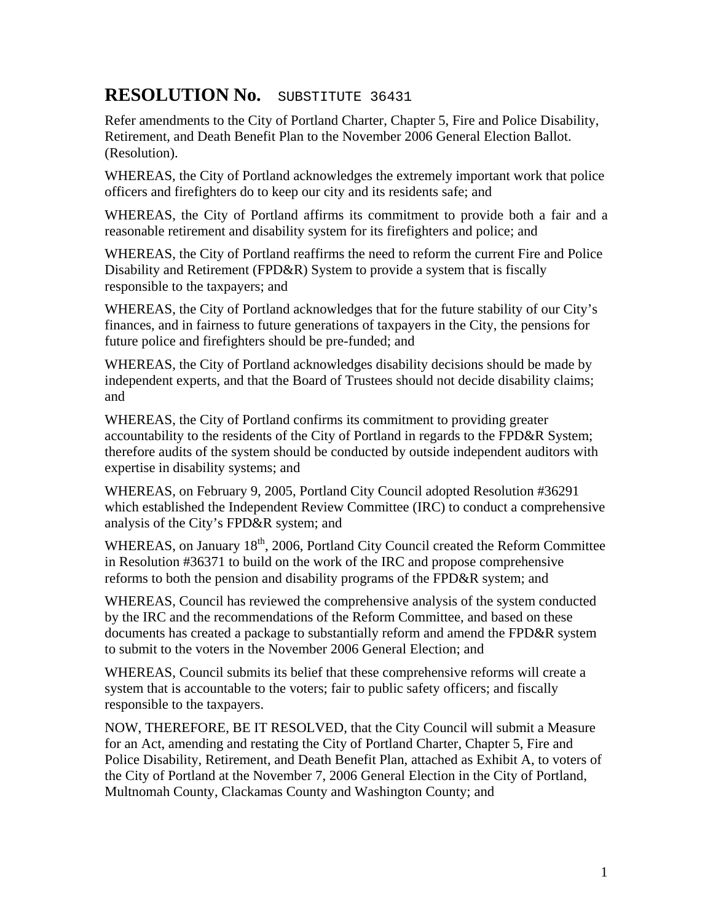## **RESOLUTION No.** SUBSTITUTE 36431

Refer amendments to the City of Portland Charter, Chapter 5, Fire and Police Disability, Retirement, and Death Benefit Plan to the November 2006 General Election Ballot. (Resolution).

WHEREAS, the City of Portland acknowledges the extremely important work that police officers and firefighters do to keep our city and its residents safe; and

WHEREAS, the City of Portland affirms its commitment to provide both a fair and a reasonable retirement and disability system for its firefighters and police; and

WHEREAS, the City of Portland reaffirms the need to reform the current Fire and Police Disability and Retirement (FPD&R) System to provide a system that is fiscally responsible to the taxpayers; and

WHEREAS, the City of Portland acknowledges that for the future stability of our City's finances, and in fairness to future generations of taxpayers in the City, the pensions for future police and firefighters should be pre-funded; and

WHEREAS, the City of Portland acknowledges disability decisions should be made by independent experts, and that the Board of Trustees should not decide disability claims; and

WHEREAS, the City of Portland confirms its commitment to providing greater accountability to the residents of the City of Portland in regards to the FPD&R System; therefore audits of the system should be conducted by outside independent auditors with expertise in disability systems; and

WHEREAS, on February 9, 2005, Portland City Council adopted Resolution #36291 which established the Independent Review Committee (IRC) to conduct a comprehensive analysis of the City's FPD&R system; and

WHEREAS, on January 18<sup>th</sup>, 2006, Portland City Council created the Reform Committee in Resolution #36371 to build on the work of the IRC and propose comprehensive reforms to both the pension and disability programs of the FPD&R system; and

WHEREAS, Council has reviewed the comprehensive analysis of the system conducted by the IRC and the recommendations of the Reform Committee, and based on these documents has created a package to substantially reform and amend the FPD&R system to submit to the voters in the November 2006 General Election; and

WHEREAS, Council submits its belief that these comprehensive reforms will create a system that is accountable to the voters; fair to public safety officers; and fiscally responsible to the taxpayers.

NOW, THEREFORE, BE IT RESOLVED, that the City Council will submit a Measure for an Act, amending and restating the City of Portland Charter, Chapter 5, Fire and Police Disability, Retirement, and Death Benefit Plan, attached as Exhibit A, to voters of the City of Portland at the November 7, 2006 General Election in the City of Portland, Multnomah County, Clackamas County and Washington County; and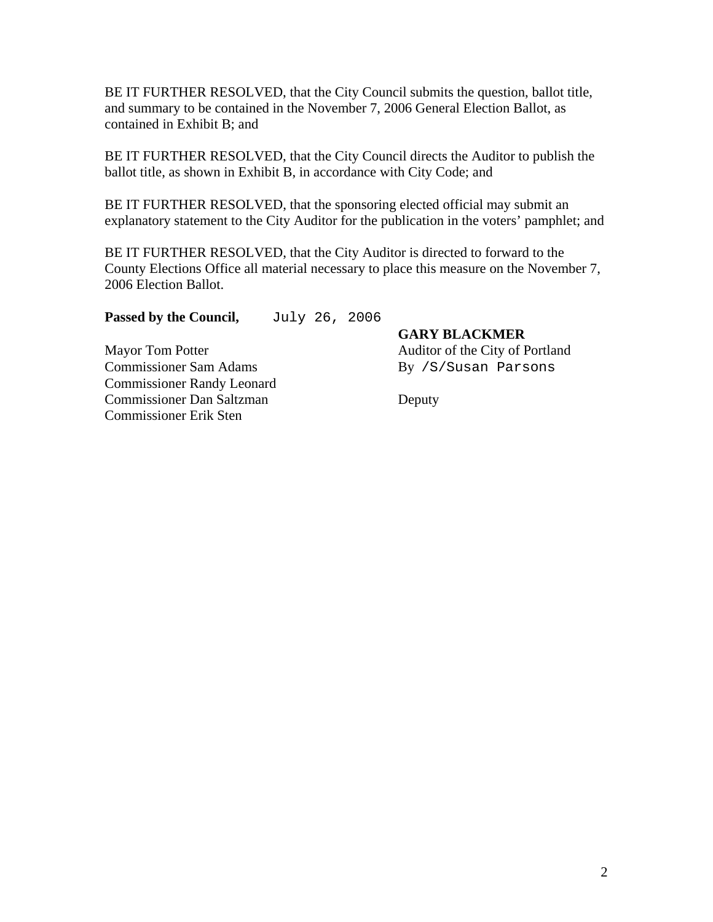BE IT FURTHER RESOLVED, that the City Council submits the question, ballot title, and summary to be contained in the November 7, 2006 General Election Ballot, as contained in Exhibit B; and

BE IT FURTHER RESOLVED, that the City Council directs the Auditor to publish the ballot title, as shown in Exhibit B, in accordance with City Code; and

BE IT FURTHER RESOLVED, that the sponsoring elected official may submit an explanatory statement to the City Auditor for the publication in the voters' pamphlet; and

BE IT FURTHER RESOLVED, that the City Auditor is directed to forward to the County Elections Office all material necessary to place this measure on the November 7, 2006 Election Ballot.

Passed by the Council, July 26, 2006

Mayor Tom Potter Auditor of the City of Portland Commissioner Sam Adams By /S/Susan Parsons Commissioner Randy Leonard Commissioner Dan Saltzman Deputy Commissioner Erik Sten

**GARY BLACKMER**